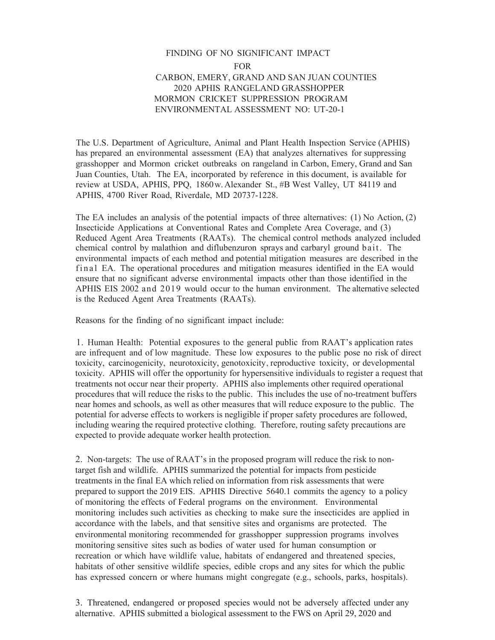## FINDING OF NO SIGNIFICANT IMPACT FOR CARBON, EMERY, GRAND AND SAN JUAN COUNTIES 2020 APHIS RANGELAND GRASSHOPPER MORMON CRICKET SUPPRESSION PROGRAM ENVIRONMENTAL ASSESSMENT NO: UT-20-1

The U.S. Department of Agriculture, Animal and Plant Health Inspection Service (APHIS) has prepared an environmental assessment (EA) that analyzes alternatives for suppressing grasshopper and Mormon cricket outbreaks on rangeland in Carbon, Emery, Grand and San Juan Counties, Utah. The EA, incorporated by reference in this document, is available for review at USDA, APHIS, PPQ, 1860w. Alexander St., #B West Valley, UT 84119 and APHIS, 4700 River Road, Riverdale, MD 20737-1228.

The EA includes an analysis of the potential impacts of three alternatives: (1) No Action, (2) Insecticide Applications at Conventional Rates and Complete Area Coverage, and (3) Reduced Agent Area Treatments (RAATs). The chemical control methods analyzed included chemical control by malathion and diflubenzuron sprays and carbaryl ground bait. The environmental impacts of each method and potential mitigation measures are described in the final EA. The operational procedures and mitigation measures identified in the EA would ensure that no significant adverse environmental impacts other than those identified in the APHIS EIS 2002 and 2019 would occur to the human environment. The alternative selected is the Reduced Agent Area Treatments (RAATs).

Reasons for the finding of no significant impact include:

1. Human Health: Potential exposures to the general public from RAAT's application rates are infrequent and of low magnitude. These low exposures to the public pose no risk of direct toxicity, carcinogenicity, neurotoxicity, genotoxicity, reproductive toxicity, or developmental toxicity. APHIS will offer the opportunity for hypersensitive individuals to register a request that treatments not occur near their property. APHIS also implements other required operational procedures that will reduce the risks to the public. This includes the use of no-treatment buffers near homes and schools, as well as other measures that will reduce exposure to the public. The potential for adverse effects to workers is negligible if proper safety procedures are followed, including wearing the required protective clothing. Therefore, routing safety precautions are expected to provide adequate worker health protection.

2. Non-targets: The use of RAAT's in the proposed program will reduce the risk to nontarget fish and wildlife. APHIS summarized the potential for impacts from pesticide treatments in the final EA which relied on information from risk assessments that were prepared to support the 2019 EIS. APHIS Directive 5640.1 commits the agency to a policy of monitoring the effects of Federal programs on the environment. Environmental monitoring includes such activities as checking to make sure the insecticides are applied in accordance with the labels, and that sensitive sites and organisms are protected. The environmental monitoring recommended for grasshopper suppression programs involves monitoring sensitive sites such as bodies of water used for human consumption or recreation or which have wildlife value, habitats of endangered and threatened species, habitats of other sensitive wildlife species, edible crops and any sites for which the public has expressed concern or where humans might congregate (e.g., schools, parks, hospitals).

3. Threatened, endangered or proposed species would not be adversely affected under any alternative. APHIS submitted a biological assessment to the FWS on April 29, 2020 and